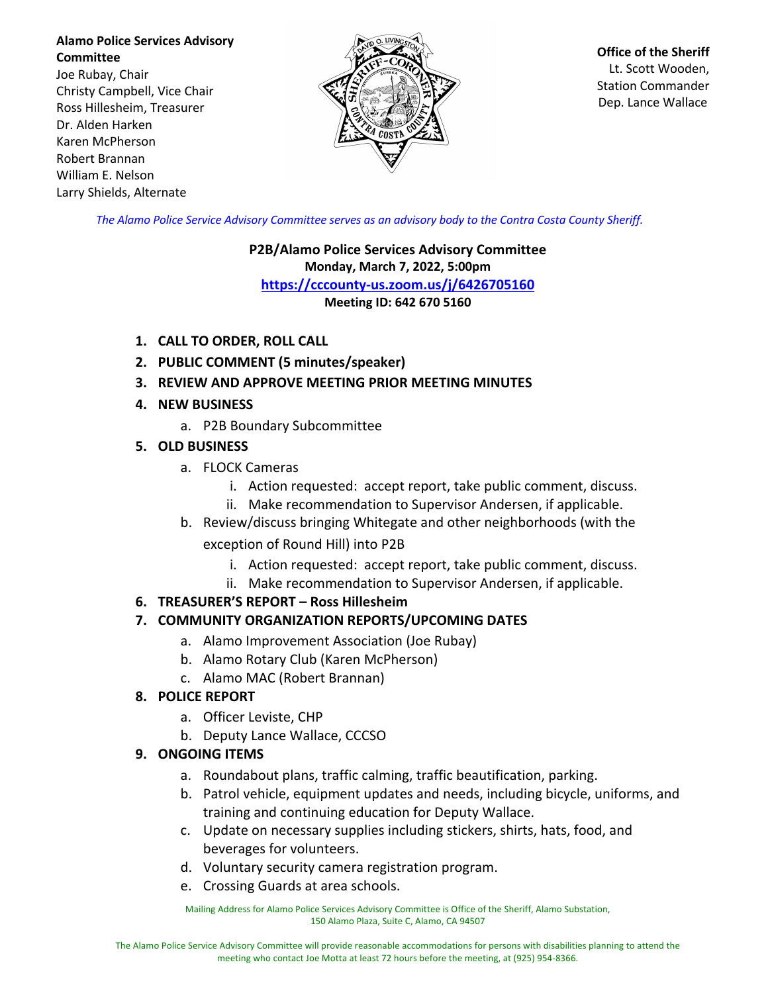**Alamo Police Services Advisory Committee** Joe Rubay, Chair Christy Campbell, Vice Chair Ross Hillesheim, Treasurer Dr. Alden Harken Karen McPherson Robert Brannan William E. Nelson Larry Shields, Alternate



**Office of the Sheriff** Lt. Scott Wooden, Station Commander Dep. Lance Wallace

*The Alamo Police Service Advisory Committee serves as an advisory body to the Contra Costa County Sheriff.*

**P2B/Alamo Police Services Advisory Committee Monday, March 7, 2022, 5:00pm https://cccounty-us.zoom.us/j/6426705160 Meeting ID: 642 670 5160**

- **1. CALL TO ORDER, ROLL CALL**
- **2. PUBLIC COMMENT (5 minutes/speaker)**
- **3. REVIEW AND APPROVE MEETING PRIOR MEETING MINUTES**
- **4. NEW BUSINESS**
	- a. P2B Boundary Subcommittee
- **5. OLD BUSINESS**
	- a. FLOCK Cameras
		- i. Action requested: accept report, take public comment, discuss.
		- ii. Make recommendation to Supervisor Andersen, if applicable.
	- b. Review/discuss bringing Whitegate and other neighborhoods (with the exception of Round Hill) into P2B
		- i. Action requested: accept report, take public comment, discuss.
		- ii. Make recommendation to Supervisor Andersen, if applicable.
- **6. TREASURER'S REPORT – Ross Hillesheim**

## **7. COMMUNITY ORGANIZATION REPORTS/UPCOMING DATES**

- a. Alamo Improvement Association (Joe Rubay)
- b. Alamo Rotary Club (Karen McPherson)
- c. Alamo MAC (Robert Brannan)

## **8. POLICE REPORT**

- a. Officer Leviste, CHP
- b. Deputy Lance Wallace, CCCSO

## **9. ONGOING ITEMS**

- a. Roundabout plans, traffic calming, traffic beautification, parking.
- b. Patrol vehicle, equipment updates and needs, including bicycle, uniforms, and training and continuing education for Deputy Wallace.
- c. Update on necessary supplies including stickers, shirts, hats, food, and beverages for volunteers.
- d. Voluntary security camera registration program.
- e. Crossing Guards at area schools.

Mailing Address for Alamo Police Services Advisory Committee is Office of the Sheriff, Alamo Substation, 150 Alamo Plaza, Suite C, Alamo, CA 94507